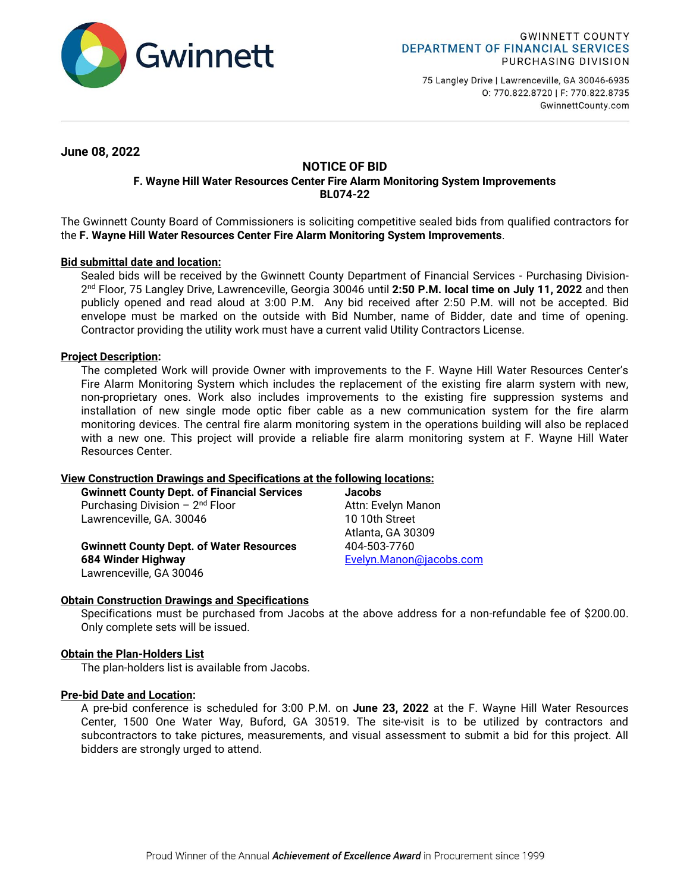

75 Langley Drive | Lawrenceville, GA 30046-6935 0: 770.822.8720 | F: 770.822.8735 GwinnettCounty.com

**June 08, 2022**

# **NOTICE OF BID F. Wayne Hill Water Resources Center Fire Alarm Monitoring System Improvements**

**BL074-22**

The Gwinnett County Board of Commissioners is soliciting competitive sealed bids from qualified contractors for the **F. Wayne Hill Water Resources Center Fire Alarm Monitoring System Improvements**.

## **Bid submittal date and location:**

Sealed bids will be received by the Gwinnett County Department of Financial Services - Purchasing Division-2 nd Floor, 75 Langley Drive, Lawrenceville, Georgia 30046 until **2:50 P.M. local time on July 11, 2022** and then publicly opened and read aloud at 3:00 P.M. Any bid received after 2:50 P.M. will not be accepted. Bid envelope must be marked on the outside with Bid Number, name of Bidder, date and time of opening. Contractor providing the utility work must have a current valid Utility Contractors License.

## **Project Description:**

The completed Work will provide Owner with improvements to the F. Wayne Hill Water Resources Center's Fire Alarm Monitoring System which includes the replacement of the existing fire alarm system with new, non-proprietary ones. Work also includes improvements to the existing fire suppression systems and installation of new single mode optic fiber cable as a new communication system for the fire alarm monitoring devices. The central fire alarm monitoring system in the operations building will also be replaced with a new one. This project will provide a reliable fire alarm monitoring system at F. Wayne Hill Water Resources Center.

### **View Construction Drawings and Specifications at the following locations:**

| <b>Gwinnett County Dept. of Financial Services</b> | <b>Jacobs</b>           |
|----------------------------------------------------|-------------------------|
| Purchasing Division $-2^{nd}$ Floor                | Attn: Evelyn Manon      |
| Lawrenceville, GA. 30046                           | 10 10th Street          |
|                                                    | Atlanta, GA 30309       |
| <b>Gwinnett County Dept. of Water Resources</b>    | 404-503-7760            |
| 684 Winder Highway                                 | Evelyn.Manon@jacobs.com |
| Lawrenceville, GA 30046                            |                         |

### **Obtain Construction Drawings and Specifications**

Specifications must be purchased from Jacobs at the above address for a non-refundable fee of \$200.00. Only complete sets will be issued.

### **Obtain the Plan-Holders List**

The plan-holders list is available from Jacobs.

### **Pre-bid Date and Location:**

A pre-bid conference is scheduled for 3:00 P.M. on **June 23, 2022** at the F. Wayne Hill Water Resources Center, 1500 One Water Way, Buford, GA 30519. The site-visit is to be utilized by contractors and subcontractors to take pictures, measurements, and visual assessment to submit a bid for this project. All bidders are strongly urged to attend.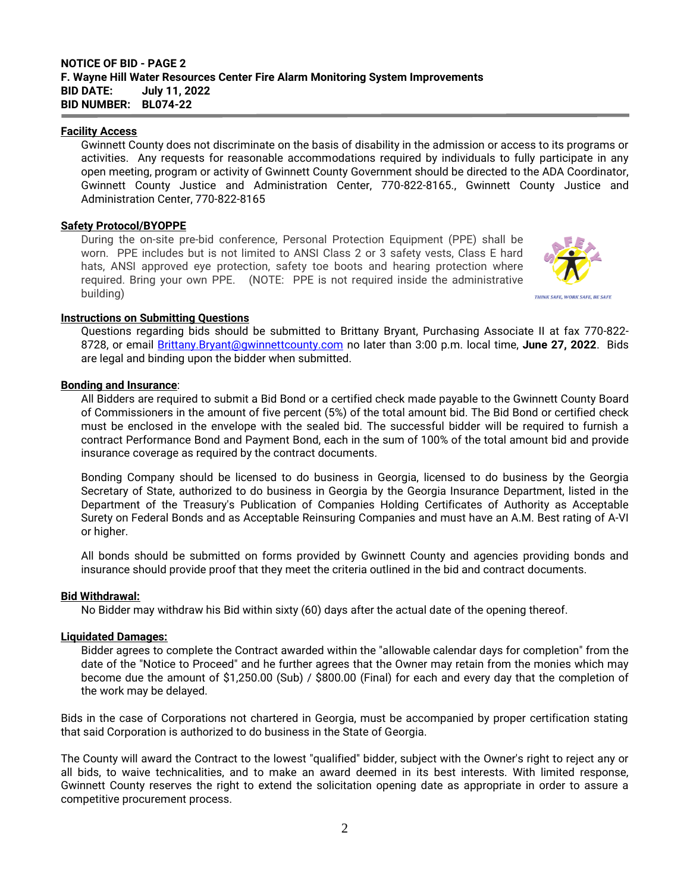#### **Facility Access**

Gwinnett County does not discriminate on the basis of disability in the admission or access to its programs or activities. Any requests for reasonable accommodations required by individuals to fully participate in any open meeting, program or activity of Gwinnett County Government should be directed to the ADA Coordinator, Gwinnett County Justice and Administration Center, 770-822-8165., Gwinnett County Justice and Administration Center, 770-822-8165

### **Safety Protocol/BYOPPE**

During the on-site pre-bid conference, Personal Protection Equipment (PPE) shall be worn. PPE includes but is not limited to ANSI Class 2 or 3 safety vests, Class E hard hats, ANSI approved eye protection, safety toe boots and hearing protection where required. Bring your own PPE. (NOTE: PPE is not required inside the administrative building)



### **Instructions on Submitting Questions**

Questions regarding bids should be submitted to Brittany Bryant, Purchasing Associate II at fax 770-822- 8728, or email [Brittany.Bryant@gwinnettcounty.com](mailto:Brittany.Bryant@gwinnettcounty.com) no later than 3:00 p.m. local time, **June 27, 2022**. Bids are legal and binding upon the bidder when submitted.

### **Bonding and Insurance**:

All Bidders are required to submit a Bid Bond or a certified check made payable to the Gwinnett County Board of Commissioners in the amount of five percent (5%) of the total amount bid. The Bid Bond or certified check must be enclosed in the envelope with the sealed bid. The successful bidder will be required to furnish a contract Performance Bond and Payment Bond, each in the sum of 100% of the total amount bid and provide insurance coverage as required by the contract documents.

Bonding Company should be licensed to do business in Georgia, licensed to do business by the Georgia Secretary of State, authorized to do business in Georgia by the Georgia Insurance Department, listed in the Department of the Treasury's Publication of Companies Holding Certificates of Authority as Acceptable Surety on Federal Bonds and as Acceptable Reinsuring Companies and must have an A.M. Best rating of A-VI or higher.

All bonds should be submitted on forms provided by Gwinnett County and agencies providing bonds and insurance should provide proof that they meet the criteria outlined in the bid and contract documents.

#### **Bid Withdrawal:**

No Bidder may withdraw his Bid within sixty (60) days after the actual date of the opening thereof.

#### **Liquidated Damages:**

Bidder agrees to complete the Contract awarded within the "allowable calendar days for completion" from the date of the "Notice to Proceed" and he further agrees that the Owner may retain from the monies which may become due the amount of \$1,250.00 (Sub) / \$800.00 (Final) for each and every day that the completion of the work may be delayed.

Bids in the case of Corporations not chartered in Georgia, must be accompanied by proper certification stating that said Corporation is authorized to do business in the State of Georgia.

The County will award the Contract to the lowest "qualified" bidder, subject with the Owner's right to reject any or all bids, to waive technicalities, and to make an award deemed in its best interests. With limited response, Gwinnett County reserves the right to extend the solicitation opening date as appropriate in order to assure a competitive procurement process.